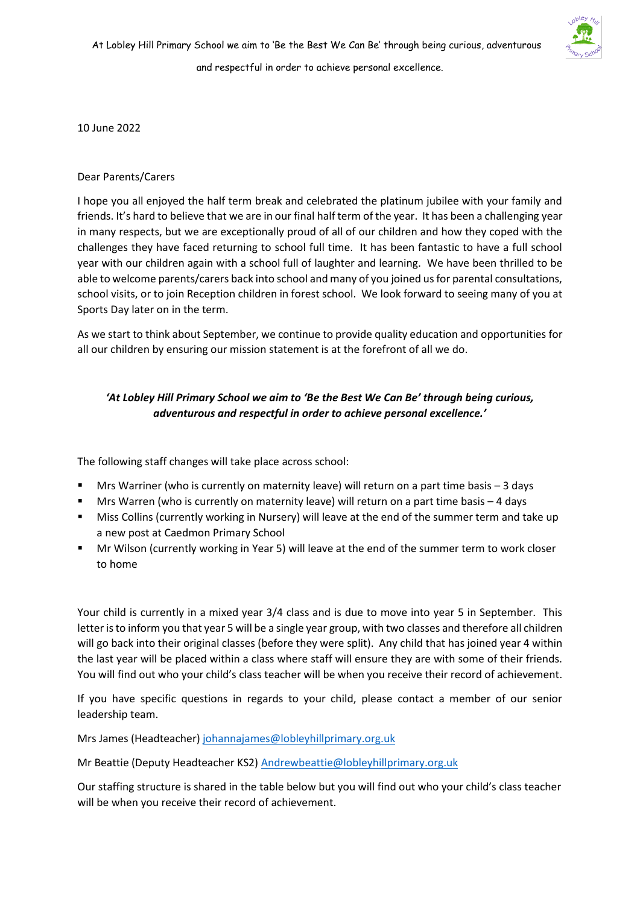10 June 2022

## Dear Parents/Carers

I hope you all enjoyed the half term break and celebrated the platinum jubilee with your family and friends. It's hard to believe that we are in our final half term of the year. It has been a challenging year in many respects, but we are exceptionally proud of all of our children and how they coped with the challenges they have faced returning to school full time. It has been fantastic to have a full school year with our children again with a school full of laughter and learning. We have been thrilled to be able to welcome parents/carers back into school and many of you joined us for parental consultations, school visits, or to join Reception children in forest school. We look forward to seeing many of you at Sports Day later on in the term.

As we start to think about September, we continue to provide quality education and opportunities for all our children by ensuring our mission statement is at the forefront of all we do.

## *'At Lobley Hill Primary School we aim to 'Be the Best We Can Be' through being curious, adventurous and respectful in order to achieve personal excellence.'*

The following staff changes will take place across school:

- Mrs Warriner (who is currently on maternity leave) will return on a part time basis 3 days
- Mrs Warren (who is currently on maternity leave) will return on a part time basis  $-4$  days
- Miss Collins (currently working in Nursery) will leave at the end of the summer term and take up a new post at Caedmon Primary School
- Mr Wilson (currently working in Year 5) will leave at the end of the summer term to work closer to home

Your child is currently in a mixed year 3/4 class and is due to move into year 5 in September. This letter is to inform you that year 5 will be a single year group, with two classes and therefore all children will go back into their original classes (before they were split). Any child that has joined year 4 within the last year will be placed within a class where staff will ensure they are with some of their friends. You will find out who your child's class teacher will be when you receive their record of achievement.

If you have specific questions in regards to your child, please contact a member of our senior leadership team.

Mrs James (Headteacher[\) johannajames@lobleyhillprimary.org.uk](mailto:johannajames@lobleyhillprimary.org.uk)

Mr Beattie (Deputy Headteacher KS2) [Andrewbeattie@lobleyhillprimary.org.uk](mailto:Andrewbeattie@lobleyhillprimary.org.uk)

Our staffing structure is shared in the table below but you will find out who your child's class teacher will be when you receive their record of achievement.